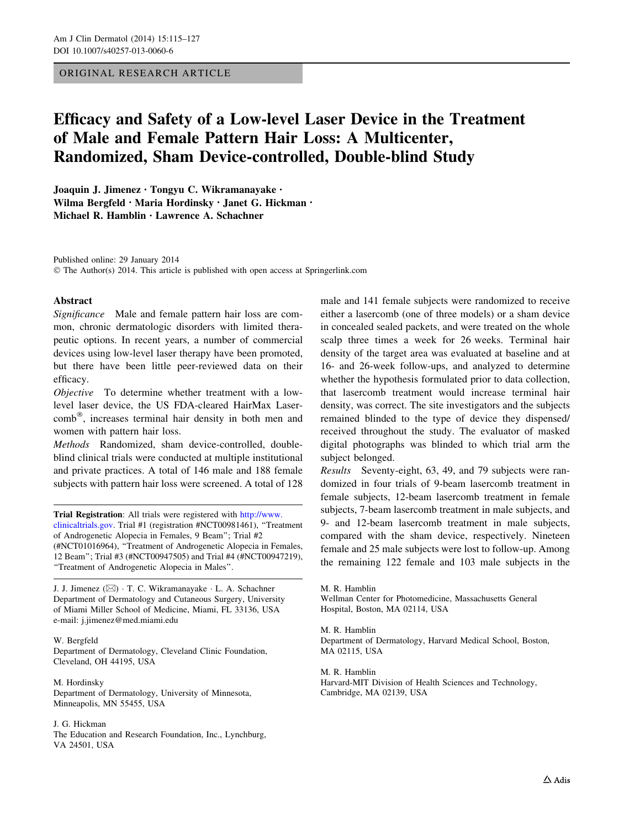# ORIGINAL RESEARCH ARTICLE

# Efficacy and Safety of a Low-level Laser Device in the Treatment of Male and Female Pattern Hair Loss: A Multicenter, Randomized, Sham Device-controlled, Double-blind Study

Joaquin J. Jimenez • Tongyu C. Wikramanayake • Wilma Bergfeld • Maria Hordinsky • Janet G. Hickman • Michael R. Hamblin • Lawrence A. Schachner

Published online: 29 January 2014 © The Author(s) 2014. This article is published with open access at Springerlink.com

# Abstract

Significance Male and female pattern hair loss are common, chronic dermatologic disorders with limited therapeutic options. In recent years, a number of commercial devices using low-level laser therapy have been promoted, but there have been little peer-reviewed data on their efficacy.

Objective To determine whether treatment with a lowlevel laser device, the US FDA-cleared HairMax Lasercomb®, increases terminal hair density in both men and women with pattern hair loss.

Methods Randomized, sham device-controlled, doubleblind clinical trials were conducted at multiple institutional and private practices. A total of 146 male and 188 female subjects with pattern hair loss were screened. A total of 128

Trial Registration: All trials were registered with [http://www.](http://www.clinicaltrials.gov) [clinicaltrials.gov](http://www.clinicaltrials.gov). Trial #1 (registration #NCT00981461), ''Treatment of Androgenetic Alopecia in Females, 9 Beam''; Trial #2 (#NCT01016964), ''Treatment of Androgenetic Alopecia in Females, 12 Beam''; Trial #3 (#NCT00947505) and Trial #4 (#NCT00947219), ''Treatment of Androgenetic Alopecia in Males''.

J. J. Jimenez (&) - T. C. Wikramanayake - L. A. Schachner Department of Dermatology and Cutaneous Surgery, University of Miami Miller School of Medicine, Miami, FL 33136, USA e-mail: j.jimenez@med.miami.edu

## W. Bergfeld

Department of Dermatology, Cleveland Clinic Foundation, Cleveland, OH 44195, USA

M. Hordinsky Department of Dermatology, University of Minnesota, Minneapolis, MN 55455, USA

## J. G. Hickman

The Education and Research Foundation, Inc., Lynchburg, VA 24501, USA

male and 141 female subjects were randomized to receive either a lasercomb (one of three models) or a sham device in concealed sealed packets, and were treated on the whole scalp three times a week for 26 weeks. Terminal hair density of the target area was evaluated at baseline and at 16- and 26-week follow-ups, and analyzed to determine whether the hypothesis formulated prior to data collection, that lasercomb treatment would increase terminal hair density, was correct. The site investigators and the subjects remained blinded to the type of device they dispensed/ received throughout the study. The evaluator of masked digital photographs was blinded to which trial arm the subject belonged.

Results Seventy-eight, 63, 49, and 79 subjects were randomized in four trials of 9-beam lasercomb treatment in female subjects, 12-beam lasercomb treatment in female subjects, 7-beam lasercomb treatment in male subjects, and 9- and 12-beam lasercomb treatment in male subjects, compared with the sham device, respectively. Nineteen female and 25 male subjects were lost to follow-up. Among the remaining 122 female and 103 male subjects in the

M. R. Hamblin Wellman Center for Photomedicine, Massachusetts General Hospital, Boston, MA 02114, USA

M. R. Hamblin Department of Dermatology, Harvard Medical School, Boston, MA 02115, USA

M. R. Hamblin Harvard-MIT Division of Health Sciences and Technology, Cambridge, MA 02139, USA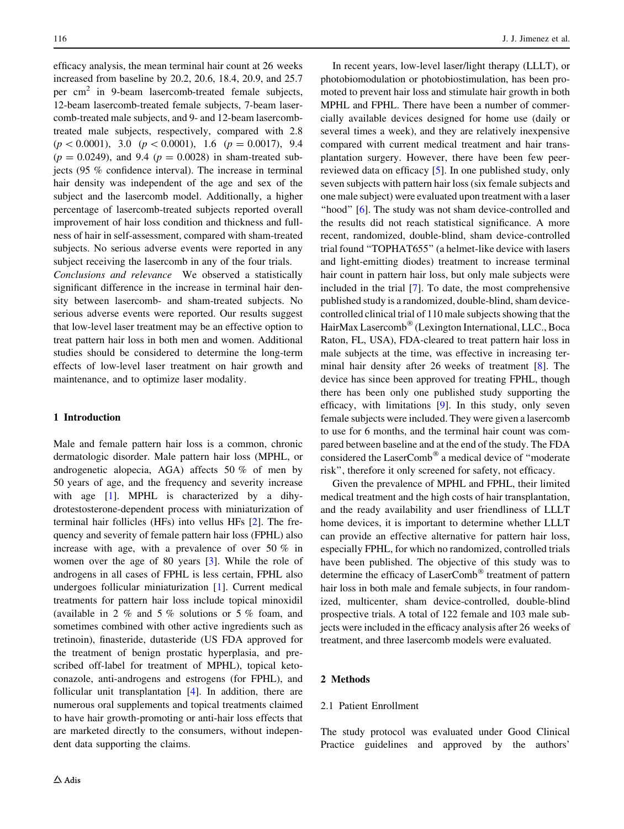efficacy analysis, the mean terminal hair count at 26 weeks increased from baseline by 20.2, 20.6, 18.4, 20.9, and 25.7 per cm<sup>2</sup> in 9-beam lasercomb-treated female subjects, 12-beam lasercomb-treated female subjects, 7-beam lasercomb-treated male subjects, and 9- and 12-beam lasercombtreated male subjects, respectively, compared with 2.8  $(p < 0.0001)$ , 3.0  $(p < 0.0001)$ , 1.6  $(p = 0.0017)$ , 9.4  $(p = 0.0249)$ , and 9.4  $(p = 0.0028)$  in sham-treated subjects (95 % confidence interval). The increase in terminal hair density was independent of the age and sex of the subject and the lasercomb model. Additionally, a higher percentage of lasercomb-treated subjects reported overall improvement of hair loss condition and thickness and fullness of hair in self-assessment, compared with sham-treated subjects. No serious adverse events were reported in any subject receiving the lasercomb in any of the four trials.

Conclusions and relevance We observed a statistically significant difference in the increase in terminal hair density between lasercomb- and sham-treated subjects. No serious adverse events were reported. Our results suggest that low-level laser treatment may be an effective option to treat pattern hair loss in both men and women. Additional studies should be considered to determine the long-term effects of low-level laser treatment on hair growth and maintenance, and to optimize laser modality.

# 1 Introduction

Male and female pattern hair loss is a common, chronic dermatologic disorder. Male pattern hair loss (MPHL, or androgenetic alopecia, AGA) affects 50 % of men by 50 years of age, and the frequency and severity increase with age [\[1](#page-11-0)]. MPHL is characterized by a dihydrotestosterone-dependent process with miniaturization of terminal hair follicles (HFs) into vellus HFs [[2\]](#page-11-0). The frequency and severity of female pattern hair loss (FPHL) also increase with age, with a prevalence of over 50 % in women over the age of 80 years [\[3](#page-11-0)]. While the role of androgens in all cases of FPHL is less certain, FPHL also undergoes follicular miniaturization [[1\]](#page-11-0). Current medical treatments for pattern hair loss include topical minoxidil (available in 2 % and 5 % solutions or 5 % foam, and sometimes combined with other active ingredients such as tretinoin), finasteride, dutasteride (US FDA approved for the treatment of benign prostatic hyperplasia, and prescribed off-label for treatment of MPHL), topical ketoconazole, anti-androgens and estrogens (for FPHL), and follicular unit transplantation [[4\]](#page-11-0). In addition, there are numerous oral supplements and topical treatments claimed to have hair growth-promoting or anti-hair loss effects that are marketed directly to the consumers, without independent data supporting the claims.

In recent years, low-level laser/light therapy (LLLT), or photobiomodulation or photobiostimulation, has been promoted to prevent hair loss and stimulate hair growth in both MPHL and FPHL. There have been a number of commercially available devices designed for home use (daily or several times a week), and they are relatively inexpensive compared with current medical treatment and hair transplantation surgery. However, there have been few peerreviewed data on efficacy [[5\]](#page-11-0). In one published study, only seven subjects with pattern hair loss (six female subjects and one male subject) were evaluated upon treatment with a laser "hood" [\[6](#page-11-0)]. The study was not sham device-controlled and the results did not reach statistical significance. A more recent, randomized, double-blind, sham device-controlled trial found ''TOPHAT655'' (a helmet-like device with lasers and light-emitting diodes) treatment to increase terminal hair count in pattern hair loss, but only male subjects were included in the trial [[7\]](#page-11-0). To date, the most comprehensive published study is a randomized, double-blind, sham devicecontrolled clinical trial of 110 male subjects showing that the HairMax Lasercomb<sup>®</sup> (Lexington International, LLC., Boca Raton, FL, USA), FDA-cleared to treat pattern hair loss in male subjects at the time, was effective in increasing terminal hair density after 26 weeks of treatment [\[8](#page-11-0)]. The device has since been approved for treating FPHL, though there has been only one published study supporting the efficacy, with limitations [\[9\]](#page-11-0). In this study, only seven female subjects were included. They were given a lasercomb to use for 6 months, and the terminal hair count was compared between baseline and at the end of the study. The FDA considered the LaserComb® a medical device of "moderate risk'', therefore it only screened for safety, not efficacy.

Given the prevalence of MPHL and FPHL, their limited medical treatment and the high costs of hair transplantation, and the ready availability and user friendliness of LLLT home devices, it is important to determine whether LLLT can provide an effective alternative for pattern hair loss, especially FPHL, for which no randomized, controlled trials have been published. The objective of this study was to determine the efficacy of LaserComb<sup>®</sup> treatment of pattern hair loss in both male and female subjects, in four randomized, multicenter, sham device-controlled, double-blind prospective trials. A total of 122 female and 103 male subjects were included in the efficacy analysis after 26 weeks of treatment, and three lasercomb models were evaluated.

## 2 Methods

# 2.1 Patient Enrollment

The study protocol was evaluated under Good Clinical Practice guidelines and approved by the authors'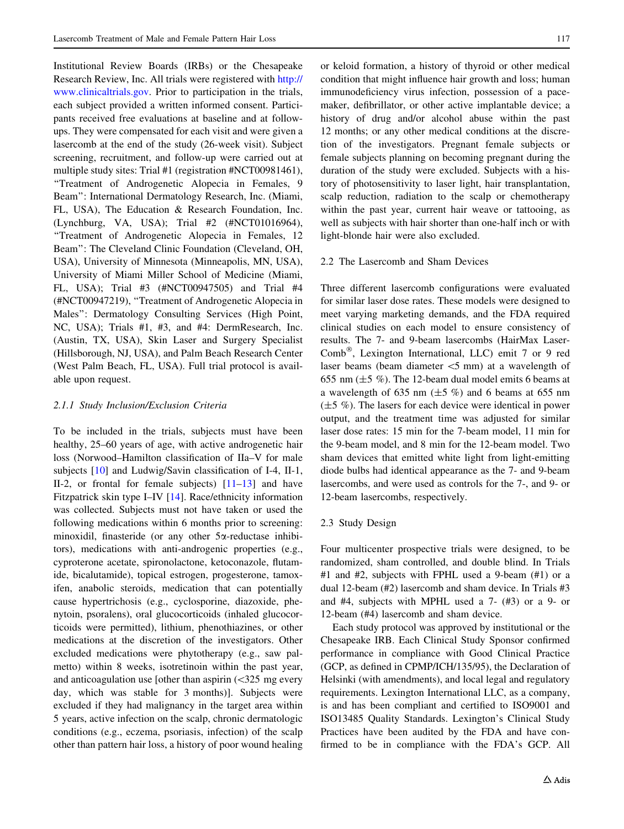Institutional Review Boards (IRBs) or the Chesapeake Research Review, Inc. All trials were registered with [http://](http://www.clinicaltrials.gov) [www.clinicaltrials.gov](http://www.clinicaltrials.gov). Prior to participation in the trials, each subject provided a written informed consent. Participants received free evaluations at baseline and at followups. They were compensated for each visit and were given a lasercomb at the end of the study (26-week visit). Subject screening, recruitment, and follow-up were carried out at multiple study sites: Trial #1 (registration #NCT00981461), ''Treatment of Androgenetic Alopecia in Females, 9 Beam'': International Dermatology Research, Inc. (Miami, FL, USA), The Education & Research Foundation, Inc. (Lynchburg, VA, USA); Trial #2 (#NCT01016964), ''Treatment of Androgenetic Alopecia in Females, 12 Beam'': The Cleveland Clinic Foundation (Cleveland, OH, USA), University of Minnesota (Minneapolis, MN, USA), University of Miami Miller School of Medicine (Miami, FL, USA); Trial #3 (#NCT00947505) and Trial #4 (#NCT00947219), ''Treatment of Androgenetic Alopecia in Males'': Dermatology Consulting Services (High Point, NC, USA); Trials #1, #3, and #4: DermResearch, Inc. (Austin, TX, USA), Skin Laser and Surgery Specialist (Hillsborough, NJ, USA), and Palm Beach Research Center (West Palm Beach, FL, USA). Full trial protocol is available upon request.

#### 2.1.1 Study Inclusion/Exclusion Criteria

To be included in the trials, subjects must have been healthy, 25–60 years of age, with active androgenetic hair loss (Norwood–Hamilton classification of IIa–V for male subjects [\[10](#page-11-0)] and Ludwig/Savin classification of I-4, II-1, II-2, or frontal for female subjects) [[11–13\]](#page-11-0) and have Fitzpatrick skin type I–IV [\[14](#page-11-0)]. Race/ethnicity information was collected. Subjects must not have taken or used the following medications within 6 months prior to screening: minoxidil, finasteride (or any other 5a-reductase inhibitors), medications with anti-androgenic properties (e.g., cyproterone acetate, spironolactone, ketoconazole, flutamide, bicalutamide), topical estrogen, progesterone, tamoxifen, anabolic steroids, medication that can potentially cause hypertrichosis (e.g., cyclosporine, diazoxide, phenytoin, psoralens), oral glucocorticoids (inhaled glucocorticoids were permitted), lithium, phenothiazines, or other medications at the discretion of the investigators. Other excluded medications were phytotherapy (e.g., saw palmetto) within 8 weeks, isotretinoin within the past year, and anticoagulation use [other than aspirin  $\left( \langle 325 \rangle \right)$  mg every day, which was stable for 3 months)]. Subjects were excluded if they had malignancy in the target area within 5 years, active infection on the scalp, chronic dermatologic conditions (e.g., eczema, psoriasis, infection) of the scalp other than pattern hair loss, a history of poor wound healing or keloid formation, a history of thyroid or other medical condition that might influence hair growth and loss; human immunodeficiency virus infection, possession of a pacemaker, defibrillator, or other active implantable device; a history of drug and/or alcohol abuse within the past 12 months; or any other medical conditions at the discretion of the investigators. Pregnant female subjects or female subjects planning on becoming pregnant during the duration of the study were excluded. Subjects with a history of photosensitivity to laser light, hair transplantation, scalp reduction, radiation to the scalp or chemotherapy within the past year, current hair weave or tattooing, as well as subjects with hair shorter than one-half inch or with light-blonde hair were also excluded.

# 2.2 The Lasercomb and Sham Devices

Three different lasercomb configurations were evaluated for similar laser dose rates. These models were designed to meet varying marketing demands, and the FDA required clinical studies on each model to ensure consistency of results. The 7- and 9-beam lasercombs (HairMax Laser-Comb<sup>®</sup>, Lexington International, LLC) emit 7 or 9 red laser beams (beam diameter  $\leq$ 5 mm) at a wavelength of 655 nm  $(\pm 5\%)$ . The 12-beam dual model emits 6 beams at a wavelength of 635 nm  $(\pm 5 \%)$  and 6 beams at 655 nm (±5 %). The lasers for each device were identical in power output, and the treatment time was adjusted for similar laser dose rates: 15 min for the 7-beam model, 11 min for the 9-beam model, and 8 min for the 12-beam model. Two sham devices that emitted white light from light-emitting diode bulbs had identical appearance as the 7- and 9-beam lasercombs, and were used as controls for the 7-, and 9- or 12-beam lasercombs, respectively.

## 2.3 Study Design

Four multicenter prospective trials were designed, to be randomized, sham controlled, and double blind. In Trials #1 and #2, subjects with FPHL used a 9-beam (#1) or a dual 12-beam (#2) lasercomb and sham device. In Trials #3 and #4, subjects with MPHL used a 7- (#3) or a 9- or 12-beam (#4) lasercomb and sham device.

Each study protocol was approved by institutional or the Chesapeake IRB. Each Clinical Study Sponsor confirmed performance in compliance with Good Clinical Practice (GCP, as defined in CPMP/ICH/135/95), the Declaration of Helsinki (with amendments), and local legal and regulatory requirements. Lexington International LLC, as a company, is and has been compliant and certified to ISO9001 and ISO13485 Quality Standards. Lexington's Clinical Study Practices have been audited by the FDA and have confirmed to be in compliance with the FDA's GCP. All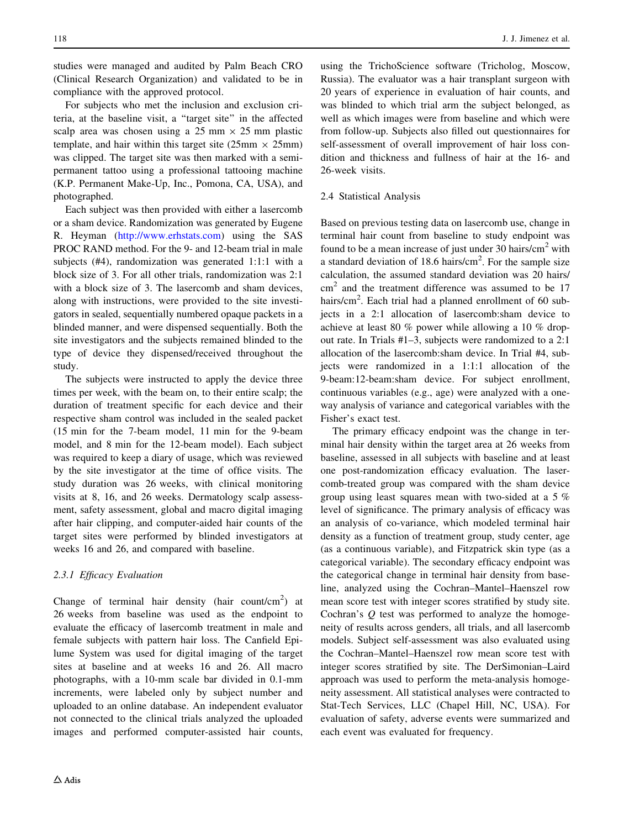studies were managed and audited by Palm Beach CRO (Clinical Research Organization) and validated to be in compliance with the approved protocol.

For subjects who met the inclusion and exclusion criteria, at the baseline visit, a ''target site'' in the affected scalp area was chosen using a 25 mm  $\times$  25 mm plastic template, and hair within this target site (25mm  $\times$  25mm) was clipped. The target site was then marked with a semipermanent tattoo using a professional tattooing machine (K.P. Permanent Make-Up, Inc., Pomona, CA, USA), and photographed.

Each subject was then provided with either a lasercomb or a sham device. Randomization was generated by Eugene R. Heyman ([http://www.erhstats.com\)](http://www.erhstats.com) using the SAS PROC RAND method. For the 9- and 12-beam trial in male subjects (#4), randomization was generated 1:1:1 with a block size of 3. For all other trials, randomization was 2:1 with a block size of 3. The lasercomb and sham devices, along with instructions, were provided to the site investigators in sealed, sequentially numbered opaque packets in a blinded manner, and were dispensed sequentially. Both the site investigators and the subjects remained blinded to the type of device they dispensed/received throughout the study.

The subjects were instructed to apply the device three times per week, with the beam on, to their entire scalp; the duration of treatment specific for each device and their respective sham control was included in the sealed packet (15 min for the 7-beam model, 11 min for the 9-beam model, and 8 min for the 12-beam model). Each subject was required to keep a diary of usage, which was reviewed by the site investigator at the time of office visits. The study duration was 26 weeks, with clinical monitoring visits at 8, 16, and 26 weeks. Dermatology scalp assessment, safety assessment, global and macro digital imaging after hair clipping, and computer-aided hair counts of the target sites were performed by blinded investigators at weeks 16 and 26, and compared with baseline.

## 2.3.1 Efficacy Evaluation

Change of terminal hair density (hair count/cm<sup>2</sup>) at 26 weeks from baseline was used as the endpoint to evaluate the efficacy of lasercomb treatment in male and female subjects with pattern hair loss. The Canfield Epilume System was used for digital imaging of the target sites at baseline and at weeks 16 and 26. All macro photographs, with a 10-mm scale bar divided in 0.1-mm increments, were labeled only by subject number and uploaded to an online database. An independent evaluator not connected to the clinical trials analyzed the uploaded images and performed computer-assisted hair counts,

using the TrichoScience software (Tricholog, Moscow, Russia). The evaluator was a hair transplant surgeon with 20 years of experience in evaluation of hair counts, and was blinded to which trial arm the subject belonged, as well as which images were from baseline and which were from follow-up. Subjects also filled out questionnaires for self-assessment of overall improvement of hair loss condition and thickness and fullness of hair at the 16- and 26-week visits.

# 2.4 Statistical Analysis

Based on previous testing data on lasercomb use, change in terminal hair count from baseline to study endpoint was found to be a mean increase of just under 30 hairs/ $\text{cm}^2$  with a standard deviation of 18.6 hairs/ $\text{cm}^2$ . For the sample size calculation, the assumed standard deviation was 20 hairs/  $cm<sup>2</sup>$  and the treatment difference was assumed to be 17 hairs/cm<sup>2</sup>. Each trial had a planned enrollment of 60 subjects in a 2:1 allocation of lasercomb:sham device to achieve at least 80 % power while allowing a 10 % dropout rate. In Trials #1–3, subjects were randomized to a 2:1 allocation of the lasercomb:sham device. In Trial #4, subjects were randomized in a 1:1:1 allocation of the 9-beam:12-beam:sham device. For subject enrollment, continuous variables (e.g., age) were analyzed with a oneway analysis of variance and categorical variables with the Fisher's exact test.

The primary efficacy endpoint was the change in terminal hair density within the target area at 26 weeks from baseline, assessed in all subjects with baseline and at least one post-randomization efficacy evaluation. The lasercomb-treated group was compared with the sham device group using least squares mean with two-sided at a 5 % level of significance. The primary analysis of efficacy was an analysis of co-variance, which modeled terminal hair density as a function of treatment group, study center, age (as a continuous variable), and Fitzpatrick skin type (as a categorical variable). The secondary efficacy endpoint was the categorical change in terminal hair density from baseline, analyzed using the Cochran–Mantel–Haenszel row mean score test with integer scores stratified by study site. Cochran's Q test was performed to analyze the homogeneity of results across genders, all trials, and all lasercomb models. Subject self-assessment was also evaluated using the Cochran–Mantel–Haenszel row mean score test with integer scores stratified by site. The DerSimonian–Laird approach was used to perform the meta-analysis homogeneity assessment. All statistical analyses were contracted to Stat-Tech Services, LLC (Chapel Hill, NC, USA). For evaluation of safety, adverse events were summarized and each event was evaluated for frequency.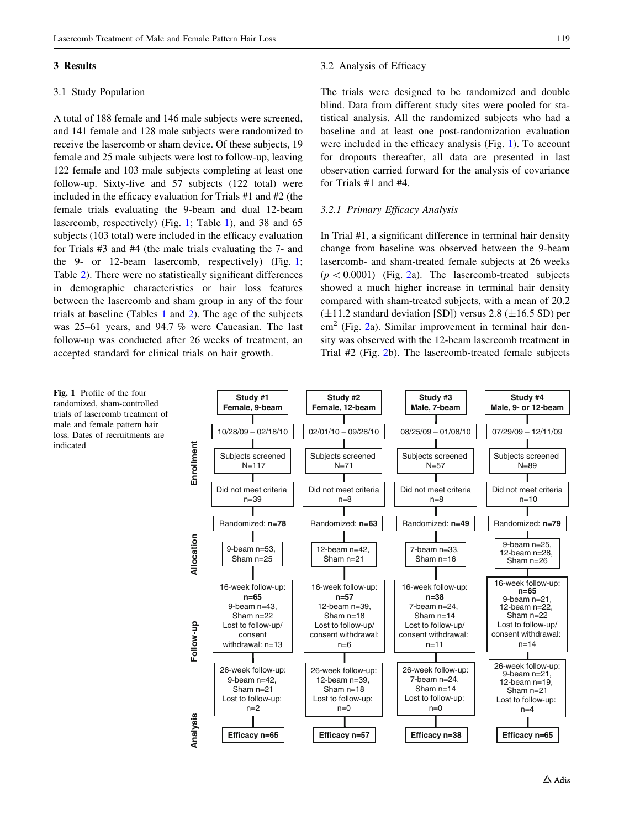#### 3 Results

### 3.1 Study Population

A total of 188 female and 146 male subjects were screened, and 141 female and 128 male subjects were randomized to receive the lasercomb or sham device. Of these subjects, 19 female and 25 male subjects were lost to follow-up, leaving 122 female and 103 male subjects completing at least one follow-up. Sixty-five and 57 subjects (122 total) were included in the efficacy evaluation for Trials #1 and #2 (the female trials evaluating the 9-beam and dual 12-beam lasercomb, respectively) (Fig. 1; Table [1](#page-5-0)), and 38 and 65 subjects (103 total) were included in the efficacy evaluation for Trials #3 and #4 (the male trials evaluating the 7- and the 9- or 12-beam lasercomb, respectively) (Fig. 1; Table [2](#page-6-0)). There were no statistically significant differences in demographic characteristics or hair loss features between the lasercomb and sham group in any of the four trials at baseline (Tables [1](#page-5-0) and [2\)](#page-6-0). The age of the subjects was 25–61 years, and 94.7 % were Caucasian. The last follow-up was conducted after 26 weeks of treatment, an accepted standard for clinical trials on hair growth.

#### 3.2 Analysis of Efficacy

The trials were designed to be randomized and double blind. Data from different study sites were pooled for statistical analysis. All the randomized subjects who had a baseline and at least one post-randomization evaluation were included in the efficacy analysis (Fig. 1). To account for dropouts thereafter, all data are presented in last observation carried forward for the analysis of covariance for Trials #1 and #4.

## 3.2.1 Primary Efficacy Analysis

In Trial #1, a significant difference in terminal hair density change from baseline was observed between the 9-beam lasercomb- and sham-treated female subjects at 26 weeks  $(p < 0.0001)$  (Fig. [2a](#page-7-0)). The lasercomb-treated subjects showed a much higher increase in terminal hair density compared with sham-treated subjects, with a mean of 20.2  $(\pm 11.2 \text{ standard deviation [SD])}$  versus 2.8  $(\pm 16.5 \text{ SD})$  per  $\text{cm}^2$  $\text{cm}^2$  (Fig. 2a). Similar improvement in terminal hair density was observed with the 12-beam lasercomb treatment in Trial #2 (Fig. [2b](#page-7-0)). The lasercomb-treated female subjects



Fig. 1 Profile of the four randomized, sham-controlled trials of lasercomb treatment of male and female pattern hair loss. Dates of recruitments are indicated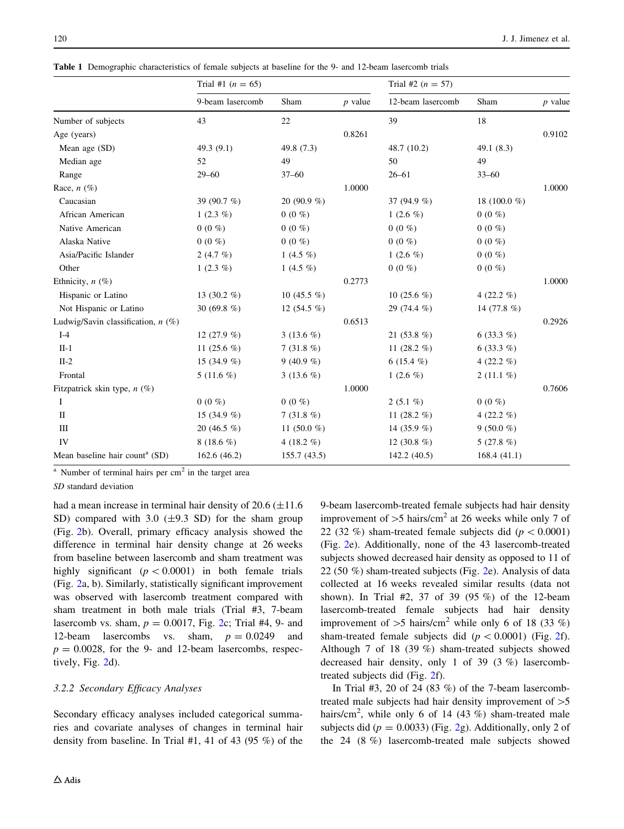<span id="page-5-0"></span>Table 1 Demographic characteristics of female subjects at baseline for the 9- and 12-beam lasercomb trials

|                                            | Trial #1 $(n = 65)$ |                | Trial #2 ( $n = 57$ ) |                   |                 |           |
|--------------------------------------------|---------------------|----------------|-----------------------|-------------------|-----------------|-----------|
|                                            | 9-beam lasercomb    | Sham           | $p$ value             | 12-beam lasercomb | Sham            | $p$ value |
| Number of subjects                         | 43                  | 22             |                       | 39                | 18              |           |
| Age (years)                                |                     |                | 0.8261                |                   |                 | 0.9102    |
| Mean age (SD)                              | 49.3 $(9.1)$        | 49.8 (7.3)     |                       | 48.7 (10.2)       | 49.1 (8.3)      |           |
| Median age                                 | 52                  | 49             |                       | 50                | 49              |           |
| Range                                      | $29 - 60$           | $37 - 60$      |                       | $26 - 61$         | $33 - 60$       |           |
| Race, $n$ (%)                              |                     |                | 1.0000                |                   |                 | 1.0000    |
| Caucasian                                  | 39 (90.7 %)         | 20 (90.9 $%$ ) |                       | 37 (94.9 %)       | 18 (100.0 $%$ ) |           |
| African American                           | 1 $(2.3\%)$         | $0(0\%)$       |                       | 1 $(2.6\%)$       | $0(0\%)$        |           |
| Native American                            | $0(0\%)$            | $0(0\%)$       |                       | $0(0\%)$          | $0(0\%)$        |           |
| Alaska Native                              | $0(0\%)$            | $0(0\%)$       |                       | $0(0\%)$          | $0(0\%)$        |           |
| Asia/Pacific Islander                      | 2 $(4.7\%)$         | 1 $(4.5\%)$    |                       | 1 $(2.6\%)$       | $0(0\%)$        |           |
| Other                                      | 1 $(2.3\%)$         | 1 $(4.5\%)$    |                       | $0(0\%)$          | $0(0\%)$        |           |
| Ethnicity, $n$ (%)                         |                     |                | 0.2773                |                   |                 | 1.0000    |
| Hispanic or Latino                         | 13 $(30.2\%)$       | 10 $(45.5\%)$  |                       | 10 $(25.6\%)$     | 4 $(22.2\%$     |           |
| Not Hispanic or Latino                     | 30 (69.8 $%$ )      | 12 $(54.5\%)$  |                       | 29 (74.4 %)       | 14 (77.8 $%$ )  |           |
| Ludwig/Savin classification, $n$ (%)       |                     |                | 0.6513                |                   |                 | 0.2926    |
| $I-4$                                      | 12 $(27.9\%)$       | 3 (13.6 $%$ )  |                       | 21 $(53.8\%)$     | 6 $(33.3\%)$    |           |
| $II-1$                                     | 11 $(25.6\%)$       | $7(31.8\%)$    |                       | 11 $(28.2\%$      | 6 $(33.3\%)$    |           |
| $II-2$                                     | 15 $(34.9%$         | 9 (40.9 %)     |                       | 6 $(15.4\%)$      | 4 $(22.2\%$     |           |
| Frontal                                    | 5 (11.6 $%$ )       | 3 $(13.6\%)$   |                       | 1 $(2.6\%)$       | 2 $(11.1\%)$    |           |
| Fitzpatrick skin type, $n$ (%)             |                     |                | 1.0000                |                   |                 | 0.7606    |
| Ι.                                         | $0(0\%)$            | $0(0\%)$       |                       | $2(5.1\%)$        | $0(0\%)$        |           |
| $\mathbf{I}$                               | 15 $(34.9%$         | $7(31.8\%)$    |                       | 11 $(28.2 \%)$    | 4 $(22.2\%)$    |           |
| Ш                                          | 20 $(46.5\%)$       | 11 $(50.0 %)$  |                       | 14 (35.9 $%$ )    | 9 (50.0 %)      |           |
| IV                                         | 8 (18.6 %)          | 4 (18.2 %)     |                       | 12 $(30.8\%)$     | $5(27.8\%)$     |           |
| Mean baseline hair count <sup>a</sup> (SD) | 162.6(46.2)         | 155.7(43.5)    |                       | 142.2 (40.5)      | 168.4(41.1)     |           |

 $a$  Number of terminal hairs per cm<sup>2</sup> in the target area

SD standard deviation

had a mean increase in terminal hair density of  $20.6$  ( $\pm 11.6$ ) SD) compared with 3.0  $(\pm 9.3 \text{ SD})$  for the sham group (Fig. [2](#page-7-0)b). Overall, primary efficacy analysis showed the difference in terminal hair density change at 26 weeks from baseline between lasercomb and sham treatment was highly significant  $(p < 0.0001)$  in both female trials (Fig. [2](#page-7-0)a, b). Similarly, statistically significant improvement was observed with lasercomb treatment compared with sham treatment in both male trials (Trial #3, 7-beam lasercomb vs. sham,  $p = 0.0017$ , Fig. [2c](#page-7-0); Trial #4, 9- and 12-beam lasercombs vs. sham,  $p = 0.0249$  and  $p = 0.0028$ , for the 9- and 12-beam lasercombs, respectively, Fig. [2d](#page-7-0)).

# 3.2.2 Secondary Efficacy Analyses

Secondary efficacy analyses included categorical summaries and covariate analyses of changes in terminal hair density from baseline. In Trial #1, 41 of 43 (95 %) of the 9-beam lasercomb-treated female subjects had hair density improvement of  $>5$  hairs/cm<sup>2</sup> at 26 weeks while only 7 of 22 (32 %) sham-treated female subjects did ( $p < 0.0001$ ) (Fig. [2e](#page-7-0)). Additionally, none of the 43 lasercomb-treated subjects showed decreased hair density as opposed to 11 of 22 (50 %) sham-treated subjects (Fig. [2](#page-7-0)e). Analysis of data collected at 16 weeks revealed similar results (data not shown). In Trial #2, 37 of 39 (95 %) of the 12-beam lasercomb-treated female subjects had hair density improvement of  $>5$  hairs/cm<sup>2</sup> while only 6 of 18 (33 %) sham-treated female subjects did  $(p<0.0001)$  (Fig. [2](#page-7-0)f). Although 7 of 18 (39 %) sham-treated subjects showed decreased hair density, only 1 of 39 (3 %) lasercombtreated subjects did (Fig. [2f](#page-7-0)).

In Trial  $#3$ , 20 of 24 (83 %) of the 7-beam lasercombtreated male subjects had hair density improvement of  $>5$ hairs/cm<sup>2</sup>, while only 6 of 14 (43 %) sham-treated male subjects did ( $p = 0.0033$ ) (Fig. [2](#page-7-0)g). Additionally, only 2 of the 24 (8 %) lasercomb-treated male subjects showed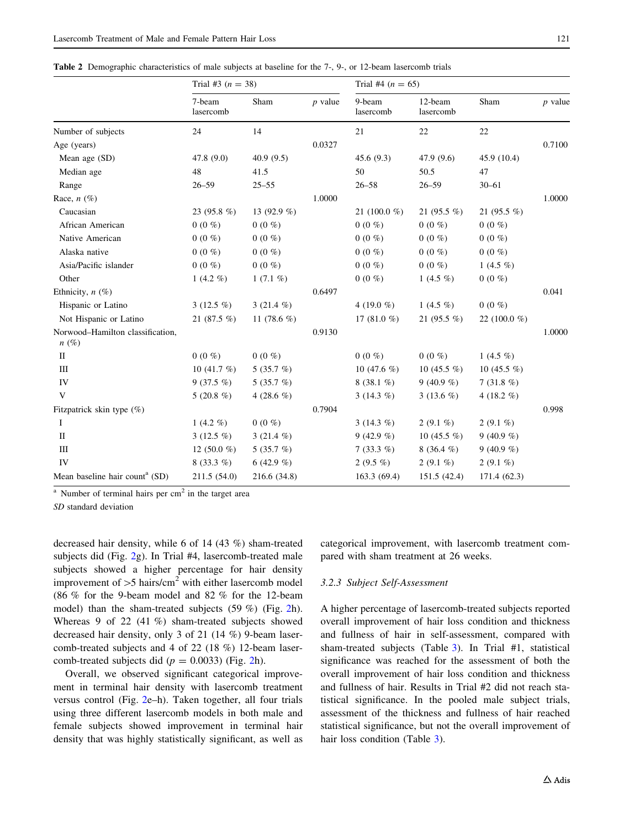<span id="page-6-0"></span>Table 2 Demographic characteristics of male subjects at baseline for the 7-, 9-, or 12-beam lasercomb trials

|                                             | Trial #3 ( $n = 38$ ) |                |           | Trial #4 ( $n = 65$ ) |                      |                 |           |  |  |  |
|---------------------------------------------|-----------------------|----------------|-----------|-----------------------|----------------------|-----------------|-----------|--|--|--|
|                                             | 7-beam<br>lasercomb   | Sham           | $p$ value | 9-beam<br>lasercomb   | 12-beam<br>lasercomb | Sham            | $p$ value |  |  |  |
| Number of subjects                          | 24                    | 14             |           | 21                    | 22                   | 22              |           |  |  |  |
| Age (years)                                 |                       |                | 0.0327    |                       |                      |                 | 0.7100    |  |  |  |
| Mean age (SD)                               | 47.8 (9.0)            | 40.9(9.5)      |           | 45.6(9.3)             | 47.9 (9.6)           | 45.9 (10.4)     |           |  |  |  |
| Median age                                  | 48                    | 41.5           |           | 50                    | 50.5                 | 47              |           |  |  |  |
| Range                                       | $26 - 59$             | $25 - 55$      |           | $26 - 58$             | $26 - 59$            | $30 - 61$       |           |  |  |  |
| Race, $n$ (%)                               |                       |                | 1.0000    |                       |                      |                 | 1.0000    |  |  |  |
| Caucasian                                   | 23 (95.8 $%$ )        | 13 (92.9 $%$ ) |           | 21 (100.0 %)          | 21 $(95.5\%)$        | 21 (95.5 %)     |           |  |  |  |
| African American                            | $0(0\%$               | $0(0\%)$       |           | $0(0\%$               | $0(0\%$              | $0(0\%)$        |           |  |  |  |
| Native American                             | $0(0\%$               | $0(0\%)$       |           | $0(0\%)$              | $0(0\%$              | $0(0\%)$        |           |  |  |  |
| Alaska native                               | $0(0\%)$              | $0(0\%)$       |           | $0(0\%)$              | $0(0\% )$            | $0(0\%)$        |           |  |  |  |
| Asia/Pacific islander                       | $0(0\%)$              | $0(0\%)$       |           | $0(0\%$               | $0(0\%)$             | 1 $(4.5\%)$     |           |  |  |  |
| Other                                       | 1 $(4.2\%)$           | 1 $(7.1\%)$    |           | $0(0\%)$              | 1 $(4.5\%)$          | $0(0\%)$        |           |  |  |  |
| Ethnicity, $n$ (%)                          |                       |                | 0.6497    |                       |                      |                 | 0.041     |  |  |  |
| Hispanic or Latino                          | 3 $(12.5\%)$          | 3 $(21.4\%)$   |           | 4 (19.0 %)            | 1 (4.5 $%$ )         | $0(0\%)$        |           |  |  |  |
| Not Hispanic or Latino                      | 21 (87.5 %)           | 11 $(78.6\%)$  |           | 17 $(81.0\%)$         | 21 $(95.5\%)$        | 22 (100.0 $%$ ) |           |  |  |  |
| Norwood-Hamilton classification,<br>$n(\%)$ |                       |                | 0.9130    |                       |                      |                 | 1.0000    |  |  |  |
| $\mathbf{I}$                                | $0(0\%)$              | $0(0\%)$       |           | $0(0\%)$              | $0(0\%)$             | 1 $(4.5 \%)$    |           |  |  |  |
| Ш                                           | 10 $(41.7 \%)$        | 5 $(35.7\%)$   |           | 10 $(47.6\%)$         | 10 $(45.5\%)$        | 10 (45.5 $%$ )  |           |  |  |  |
| IV                                          | $9(37.5\%)$           | 5 $(35.7\%)$   |           | $8(38.1\%)$           | $9(40.9\%)$          | $7(31.8\%)$     |           |  |  |  |
| V                                           | 5 $(20.8\%)$          | 4 (28.6 $%$ )  |           | 3 $(14.3\%)$          | 3 $(13.6\%)$         | 4 (18.2 $%$ )   |           |  |  |  |
| Fitzpatrick skin type $(\%)$                |                       |                | 0.7904    |                       |                      |                 | 0.998     |  |  |  |
| I                                           | 1 $(4.2\%)$           | $0(0\%)$       |           | 3 $(14.3\%)$          | 2 $(9.1\%)$          | 2 $(9.1\%)$     |           |  |  |  |
| $\mathbf{I}$                                | 3 $(12.5\%)$          | $3(21.4\%)$    |           | 9 (42.9 %)            | 10 $(45.5\%)$        | 9 (40.9 %)      |           |  |  |  |
| III                                         | 12 $(50.0 %)$         | 5 $(35.7\%)$   |           | $7(33.3\%)$           | $8(36.4\%)$          | 9 (40.9 %)      |           |  |  |  |
| IV                                          | 8 $(33.3\%)$          | 6 (42.9 %)     |           | 2 (9.5 $%$ )          | 2 $(9.1\%)$          | 2 $(9.1\%)$     |           |  |  |  |
| Mean baseline hair count <sup>a</sup> (SD)  | 211.5 (54.0)          | 216.6 (34.8)   |           | 163.3 (69.4)          | 151.5 (42.4)         | 171.4 (62.3)    |           |  |  |  |

 $a$  Number of terminal hairs per cm<sup>2</sup> in the target area

SD standard deviation

decreased hair density, while 6 of 14 (43 %) sham-treated subjects did (Fig. [2](#page-7-0)g). In Trial #4, lasercomb-treated male subjects showed a higher percentage for hair density improvement of  $>5$  hairs/cm<sup>2</sup> with either lasercomb model (86 % for the 9-beam model and 82 % for the 12-beam model) than the sham-treated subjects (59 %) (Fig. [2](#page-7-0)h). Whereas 9 of 22 (41 %) sham-treated subjects showed decreased hair density, only 3 of 21 (14 %) 9-beam lasercomb-treated subjects and 4 of 22 (18 %) 12-beam lasercomb-treated subjects did ( $p = 0.0033$ ) (Fig. [2](#page-7-0)h).

Overall, we observed significant categorical improvement in terminal hair density with lasercomb treatment versus control (Fig. [2e](#page-7-0)–h). Taken together, all four trials using three different lasercomb models in both male and female subjects showed improvement in terminal hair density that was highly statistically significant, as well as categorical improvement, with lasercomb treatment compared with sham treatment at 26 weeks.

## 3.2.3 Subject Self-Assessment

A higher percentage of lasercomb-treated subjects reported overall improvement of hair loss condition and thickness and fullness of hair in self-assessment, compared with sham-treated subjects (Table [3](#page-8-0)). In Trial #1, statistical significance was reached for the assessment of both the overall improvement of hair loss condition and thickness and fullness of hair. Results in Trial #2 did not reach statistical significance. In the pooled male subject trials, assessment of the thickness and fullness of hair reached statistical significance, but not the overall improvement of hair loss condition (Table [3\)](#page-8-0).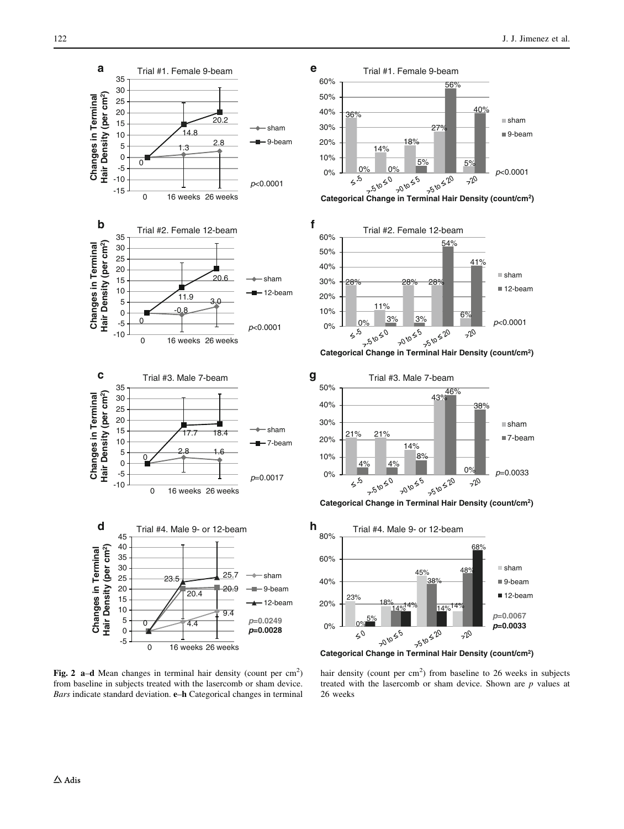<span id="page-7-0"></span>

Fig. 2 a-d Mean changes in terminal hair density (count per  $cm<sup>2</sup>$ ) from baseline in subjects treated with the lasercomb or sham device. Bars indicate standard deviation. e–h Categorical changes in terminal







**Categorical Change in Terminal Hair Density (count/cm2)**





hair density (count per  $cm<sup>2</sup>$ ) from baseline to 26 weeks in subjects treated with the lasercomb or sham device. Shown are  $p$  values at 26 weeks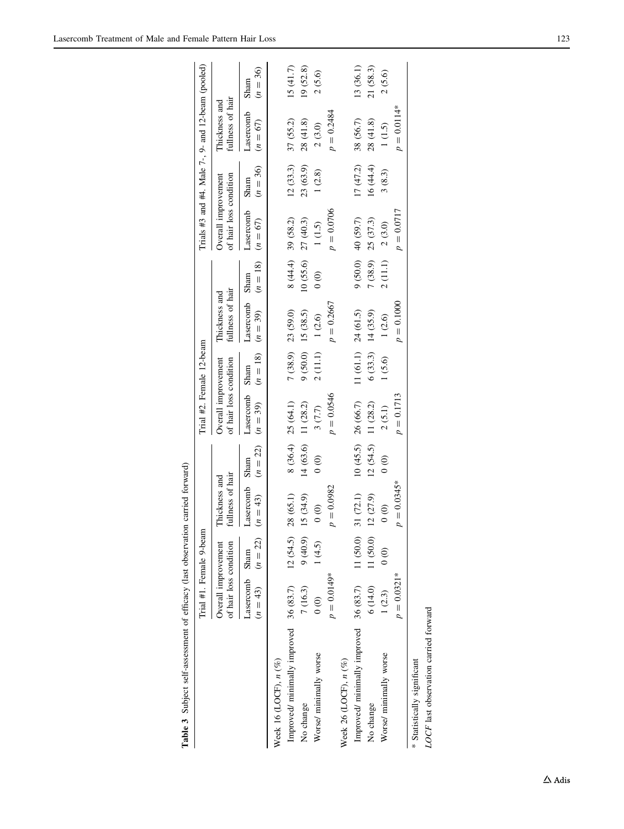<span id="page-8-0"></span>

|                                                  |                                               | Trial #1. Female 9-beam              |                                              |                                      | Trial #2. Female 12-beam                      |            |                                   |                                      |                                               |                    | Trials #3 and #4. Male $7-$ , $9-$ and 12-beam (pooled) |                    |
|--------------------------------------------------|-----------------------------------------------|--------------------------------------|----------------------------------------------|--------------------------------------|-----------------------------------------------|------------|-----------------------------------|--------------------------------------|-----------------------------------------------|--------------------|---------------------------------------------------------|--------------------|
|                                                  | of hair loss condition<br>Overall improvement |                                      | fullness of hair<br>Thickness and            |                                      | of hair loss condition<br>Overall improvement |            | fullness of hair<br>Thickness and |                                      | of hair loss condition<br>Overall improvement |                    | fullness of hair<br>Thickness and                       |                    |
|                                                  | $(n = 43)$ $(n = 22)$<br>Lasercomb Sham       |                                      | Lasercomb<br>$(n = 43)$                      | $(n = 22)$<br>Sham                   | Lasercomb Sham<br>$(n = 39)$                  | $(n = 18)$ | Lasercomb Sham<br>$(n = 39)$      | $(n = 18)$                           | Lasercomb<br>$(n = 67)$                       | $(n = 36)$<br>Sham | Lasercomb<br>$(n = 67)$                                 | $(n = 36)$<br>Sham |
| Week 16 (LOCF), $n$ $(\%)$                       |                                               |                                      |                                              |                                      |                                               |            |                                   |                                      |                                               |                    |                                                         |                    |
| Improved/ minimally improved 36 (83.7) 12 (54.5) |                                               |                                      | 28(65.1)                                     |                                      | 8 (36.4) 25 (64.1)                            |            | $7(38.9)$ 23 (59.0)               |                                      | $8(44.4)$ 39 (58.2)                           | 12(33.3)           | 37 (55.2)                                               | 15(41.7)           |
| No change                                        | 7(16.3)                                       | $(6.04)$ $(6)$                       | 15 (34.9)                                    | 14 (63.6) 11 (28.2)                  |                                               |            | 9(50.0) 15(38.5)                  |                                      | $10(55.6)$ $27(40.3)$                         | 23 (63.9)          | 28(41.8)                                                | 19 (52.8)          |
| Worse/ minimally worse                           | $\begin{matrix} 0 & 0 \\ 0 & 0 \end{matrix}$  | 1(4.5)                               | $\circ$                                      | $\circ$                              | 3(7.7)                                        |            | 2(11.1) 1(2.6)                    | $\begin{matrix} 0 \\ 0 \end{matrix}$ | 1(1.5)                                        | 1(2.8)             | $2\ (3.0)$                                              | 2(5.6)             |
|                                                  | $p = 0.0149*$                                 |                                      | $p = 0.0982$                                 |                                      | $p = 0.0546$                                  |            | $p = 0.2667$                      |                                      | $p = 0.0706$                                  |                    | $p = 0.2484$                                            |                    |
| Week 26 (LOCF), $n$ $(\%)$                       |                                               |                                      |                                              |                                      |                                               |            |                                   |                                      |                                               |                    |                                                         |                    |
| Improved/minimally improved 36 (83.7)            |                                               | 11 (50.0)                            | 31(72.1)                                     |                                      | 10(45.5) 26(66.7)                             | 11 (61.1)  | 24(61.5)                          |                                      | 9(50.0) 40(59.7)                              | 17(47.2)           | 38 (56.7)                                               | 13 (36.1)          |
| No change                                        | 6(14.0)                                       | 11 (50.0)                            | 12(27.9)                                     | $12(54.5)$ 11 $(28.2)$               |                                               |            | $6(33.3)$ 14 (35.9)               |                                      | 7(38.9) 25(37.3)                              | 16(44.4)           | 28(41.8)                                                | 21(58.3)           |
| Worse/ minimally worse                           | 1(2.3)                                        | $\begin{matrix} 0 \\ 0 \end{matrix}$ | $\begin{matrix} 0 & 0 \\ 0 & 0 \end{matrix}$ | $\begin{matrix} 0 \\ 0 \end{matrix}$ | 2(5.1)                                        | 1(5.6)     | 1(2.6)                            | 2(11.1)                              | 2(3.0)                                        | 3(8.3)             | $1(1.5)$                                                | 2(5.6)             |
|                                                  | $p = 0.0321*$                                 |                                      | $p = 0.0345*$                                |                                      | $p = 0.1713$                                  |            | $p = 0.1000$                      |                                      | $p = 0.0717$                                  |                    | $p = 0.0114*$                                           |                    |
| * Statistically significant                      |                                               |                                      |                                              |                                      |                                               |            |                                   |                                      |                                               |                    |                                                         |                    |
| LOCF last observation carried forward            |                                               |                                      |                                              |                                      |                                               |            |                                   |                                      |                                               |                    |                                                         |                    |

| i<br>S   |
|----------|
|          |
|          |
|          |
| i        |
|          |
|          |
| i        |
| į        |
|          |
|          |
|          |
| . attack |
| ֚<br>j   |
|          |
|          |
|          |
|          |
|          |
| l        |
| l        |
|          |
|          |
|          |
|          |
|          |
|          |
|          |
| י<br>    |

 $\Delta$ Adis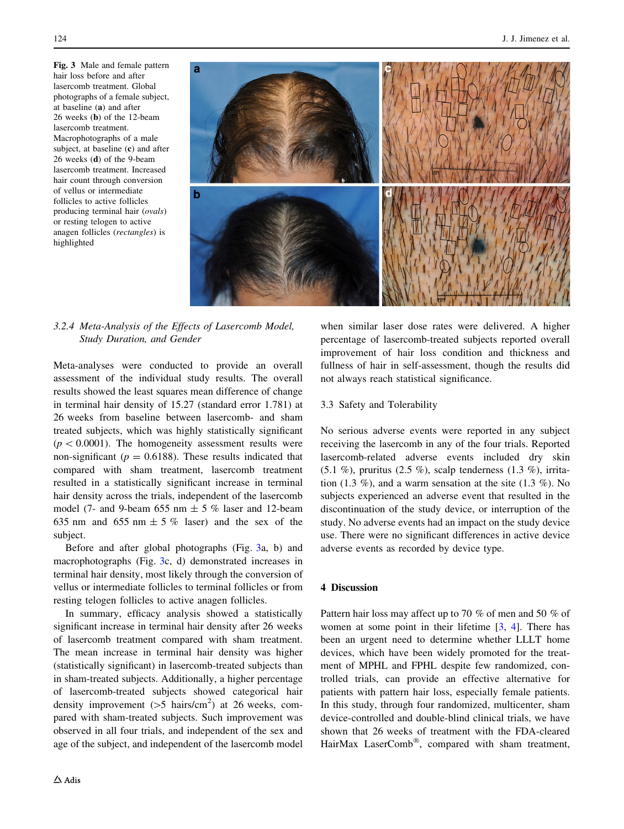<span id="page-9-0"></span>Fig. 3 Male and female pattern hair loss before and after lasercomb treatment. Global photographs of a female subject, at baseline (a) and after 26 weeks (b) of the 12-beam lasercomb treatment. Macrophotographs of a male subject, at baseline (c) and after 26 weeks (d) of the 9-beam lasercomb treatment. Increased hair count through conversion of vellus or intermediate follicles to active follicles producing terminal hair (ovals) or resting telogen to active anagen follicles (rectangles) is highlighted



# 3.2.4 Meta-Analysis of the Effects of Lasercomb Model, Study Duration, and Gender

Meta-analyses were conducted to provide an overall assessment of the individual study results. The overall results showed the least squares mean difference of change in terminal hair density of 15.27 (standard error 1.781) at 26 weeks from baseline between lasercomb- and sham treated subjects, which was highly statistically significant  $(p < 0.0001)$ . The homogeneity assessment results were non-significant ( $p = 0.6188$ ). These results indicated that compared with sham treatment, lasercomb treatment resulted in a statistically significant increase in terminal hair density across the trials, independent of the lasercomb model (7- and 9-beam 655 nm  $\pm$  5 % laser and 12-beam 635 nm and 655 nm  $\pm$  5 % laser) and the sex of the subject.

Before and after global photographs (Fig. 3a, b) and macrophotographs (Fig. 3c, d) demonstrated increases in terminal hair density, most likely through the conversion of vellus or intermediate follicles to terminal follicles or from resting telogen follicles to active anagen follicles.

In summary, efficacy analysis showed a statistically significant increase in terminal hair density after 26 weeks of lasercomb treatment compared with sham treatment. The mean increase in terminal hair density was higher (statistically significant) in lasercomb-treated subjects than in sham-treated subjects. Additionally, a higher percentage of lasercomb-treated subjects showed categorical hair density improvement ( $>$ 5 hairs/cm<sup>2</sup>) at 26 weeks, compared with sham-treated subjects. Such improvement was observed in all four trials, and independent of the sex and age of the subject, and independent of the lasercomb model when similar laser dose rates were delivered. A higher percentage of lasercomb-treated subjects reported overall improvement of hair loss condition and thickness and fullness of hair in self-assessment, though the results did not always reach statistical significance.

# 3.3 Safety and Tolerability

No serious adverse events were reported in any subject receiving the lasercomb in any of the four trials. Reported lasercomb-related adverse events included dry skin  $(5.1 \%)$ , pruritus  $(2.5 \%)$ , scalp tenderness  $(1.3 \%)$ , irritation  $(1.3\%)$ , and a warm sensation at the site  $(1.3\%)$ . No subjects experienced an adverse event that resulted in the discontinuation of the study device, or interruption of the study. No adverse events had an impact on the study device use. There were no significant differences in active device adverse events as recorded by device type.

# 4 Discussion

Pattern hair loss may affect up to 70 % of men and 50 % of women at some point in their lifetime [\[3](#page-11-0), [4\]](#page-11-0). There has been an urgent need to determine whether LLLT home devices, which have been widely promoted for the treatment of MPHL and FPHL despite few randomized, controlled trials, can provide an effective alternative for patients with pattern hair loss, especially female patients. In this study, through four randomized, multicenter, sham device-controlled and double-blind clinical trials, we have shown that 26 weeks of treatment with the FDA-cleared HairMax LaserComb®, compared with sham treatment,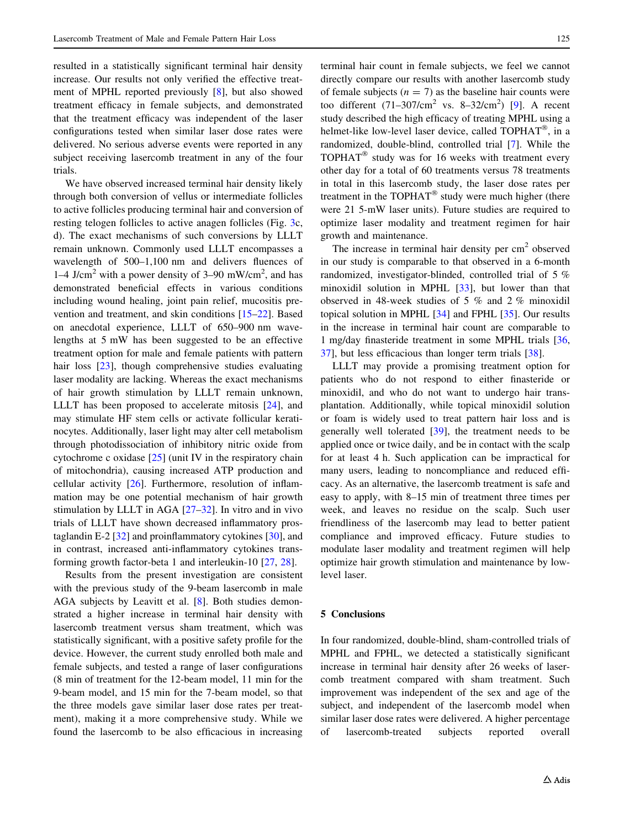resulted in a statistically significant terminal hair density increase. Our results not only verified the effective treatment of MPHL reported previously [[8\]](#page-11-0), but also showed treatment efficacy in female subjects, and demonstrated that the treatment efficacy was independent of the laser configurations tested when similar laser dose rates were delivered. No serious adverse events were reported in any subject receiving lasercomb treatment in any of the four trials.

We have observed increased terminal hair density likely through both conversion of vellus or intermediate follicles to active follicles producing terminal hair and conversion of resting telogen follicles to active anagen follicles (Fig. [3](#page-9-0)c, d). The exact mechanisms of such conversions by LLLT remain unknown. Commonly used LLLT encompasses a wavelength of 500–1,100 nm and delivers fluences of 1–4 J/cm<sup>2</sup> with a power density of 3–90 mW/cm<sup>2</sup>, and has demonstrated beneficial effects in various conditions including wound healing, joint pain relief, mucositis prevention and treatment, and skin conditions [[15–22\]](#page-11-0). Based on anecdotal experience, LLLT of 650–900 nm wavelengths at 5 mW has been suggested to be an effective treatment option for male and female patients with pattern hair loss [\[23](#page-11-0)], though comprehensive studies evaluating laser modality are lacking. Whereas the exact mechanisms of hair growth stimulation by LLLT remain unknown, LLLT has been proposed to accelerate mitosis [[24\]](#page-11-0), and may stimulate HF stem cells or activate follicular keratinocytes. Additionally, laser light may alter cell metabolism through photodissociation of inhibitory nitric oxide from cytochrome c oxidase [[25\]](#page-11-0) (unit IV in the respiratory chain of mitochondria), causing increased ATP production and cellular activity [\[26](#page-11-0)]. Furthermore, resolution of inflammation may be one potential mechanism of hair growth stimulation by LLLT in AGA [\[27](#page-11-0)[–32](#page-12-0)]. In vitro and in vivo trials of LLLT have shown decreased inflammatory prostaglandin E-2  $[32]$  $[32]$  and proinflammatory cytokines  $[30]$  $[30]$ , and in contrast, increased anti-inflammatory cytokines transforming growth factor-beta 1 and interleukin-10 [\[27](#page-11-0), [28\]](#page-12-0).

Results from the present investigation are consistent with the previous study of the 9-beam lasercomb in male AGA subjects by Leavitt et al. [\[8](#page-11-0)]. Both studies demonstrated a higher increase in terminal hair density with lasercomb treatment versus sham treatment, which was statistically significant, with a positive safety profile for the device. However, the current study enrolled both male and female subjects, and tested a range of laser configurations (8 min of treatment for the 12-beam model, 11 min for the 9-beam model, and 15 min for the 7-beam model, so that the three models gave similar laser dose rates per treatment), making it a more comprehensive study. While we found the lasercomb to be also efficacious in increasing terminal hair count in female subjects, we feel we cannot directly compare our results with another lasercomb study of female subjects ( $n = 7$ ) as the baseline hair counts were too different  $(71-307/cm^2$  vs.  $8-32/cm^2$ ) [\[9](#page-11-0)]. A recent study described the high efficacy of treating MPHL using a helmet-like low-level laser device, called  $TOPHAT^{\circledast}$ , in a randomized, double-blind, controlled trial [[7\]](#page-11-0). While the TOPHAT<sup>®</sup> study was for 16 weeks with treatment every other day for a total of 60 treatments versus 78 treatments in total in this lasercomb study, the laser dose rates per treatment in the  $TOPHAT^{\circledR}$  study were much higher (there were 21 5-mW laser units). Future studies are required to optimize laser modality and treatment regimen for hair growth and maintenance.

The increase in terminal hair density per  $cm<sup>2</sup>$  observed in our study is comparable to that observed in a 6-month randomized, investigator-blinded, controlled trial of 5 % minoxidil solution in MPHL [\[33](#page-12-0)], but lower than that observed in 48-week studies of 5 % and 2 % minoxidil topical solution in MPHL [\[34](#page-12-0)] and FPHL [[35\]](#page-12-0). Our results in the increase in terminal hair count are comparable to 1 mg/day finasteride treatment in some MPHL trials [[36,](#page-12-0) [37](#page-12-0)], but less efficacious than longer term trials [\[38](#page-12-0)].

LLLT may provide a promising treatment option for patients who do not respond to either finasteride or minoxidil, and who do not want to undergo hair transplantation. Additionally, while topical minoxidil solution or foam is widely used to treat pattern hair loss and is generally well tolerated [[39\]](#page-12-0), the treatment needs to be applied once or twice daily, and be in contact with the scalp for at least 4 h. Such application can be impractical for many users, leading to noncompliance and reduced efficacy. As an alternative, the lasercomb treatment is safe and easy to apply, with 8–15 min of treatment three times per week, and leaves no residue on the scalp. Such user friendliness of the lasercomb may lead to better patient compliance and improved efficacy. Future studies to modulate laser modality and treatment regimen will help optimize hair growth stimulation and maintenance by lowlevel laser.

# 5 Conclusions

In four randomized, double-blind, sham-controlled trials of MPHL and FPHL, we detected a statistically significant increase in terminal hair density after 26 weeks of lasercomb treatment compared with sham treatment. Such improvement was independent of the sex and age of the subject, and independent of the lasercomb model when similar laser dose rates were delivered. A higher percentage of lasercomb-treated subjects reported overall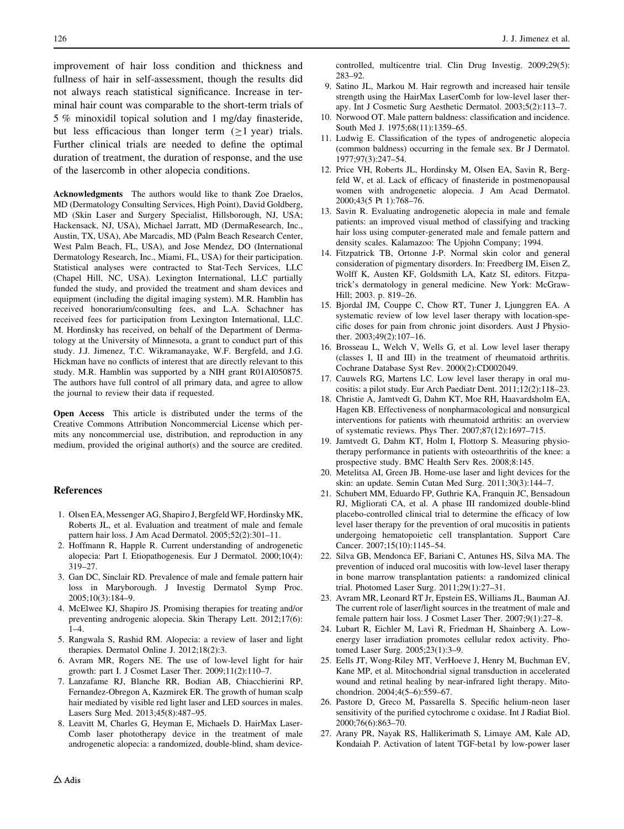<span id="page-11-0"></span>improvement of hair loss condition and thickness and fullness of hair in self-assessment, though the results did not always reach statistical significance. Increase in terminal hair count was comparable to the short-term trials of 5 % minoxidil topical solution and 1 mg/day finasteride, but less efficacious than longer term  $(>1$  year) trials. Further clinical trials are needed to define the optimal duration of treatment, the duration of response, and the use of the lasercomb in other alopecia conditions.

Acknowledgments The authors would like to thank Zoe Draelos, MD (Dermatology Consulting Services, High Point), David Goldberg, MD (Skin Laser and Surgery Specialist, Hillsborough, NJ, USA; Hackensack, NJ, USA), Michael Jarratt, MD (DermaResearch, Inc., Austin, TX, USA), Abe Marcadis, MD (Palm Beach Research Center, West Palm Beach, FL, USA), and Jose Mendez, DO (International Dermatology Research, Inc., Miami, FL, USA) for their participation. Statistical analyses were contracted to Stat-Tech Services, LLC (Chapel Hill, NC, USA). Lexington International, LLC partially funded the study, and provided the treatment and sham devices and equipment (including the digital imaging system). M.R. Hamblin has received honorarium/consulting fees, and L.A. Schachner has received fees for participation from Lexington International, LLC. M. Hordinsky has received, on behalf of the Department of Dermatology at the University of Minnesota, a grant to conduct part of this study. J.J. Jimenez, T.C. Wikramanayake, W.F. Bergfeld, and J.G. Hickman have no conflicts of interest that are directly relevant to this study. M.R. Hamblin was supported by a NIH grant R01AI050875. The authors have full control of all primary data, and agree to allow the journal to review their data if requested.

Open Access This article is distributed under the terms of the Creative Commons Attribution Noncommercial License which permits any noncommercial use, distribution, and reproduction in any medium, provided the original author(s) and the source are credited.

#### References

- 1. Olsen EA, Messenger AG, Shapiro J, Bergfeld WF, Hordinsky MK, Roberts JL, et al. Evaluation and treatment of male and female pattern hair loss. J Am Acad Dermatol. 2005;52(2):301–11.
- 2. Hoffmann R, Happle R. Current understanding of androgenetic alopecia: Part I. Etiopathogenesis. Eur J Dermatol. 2000;10(4): 319–27.
- 3. Gan DC, Sinclair RD. Prevalence of male and female pattern hair loss in Maryborough. J Investig Dermatol Symp Proc. 2005;10(3):184–9.
- 4. McElwee KJ, Shapiro JS. Promising therapies for treating and/or preventing androgenic alopecia. Skin Therapy Lett. 2012;17(6): 1–4.
- 5. Rangwala S, Rashid RM. Alopecia: a review of laser and light therapies. Dermatol Online J. 2012;18(2):3.
- 6. Avram MR, Rogers NE. The use of low-level light for hair growth: part I. J Cosmet Laser Ther. 2009;11(2):110–7.
- 7. Lanzafame RJ, Blanche RR, Bodian AB, Chiacchierini RP, Fernandez-Obregon A, Kazmirek ER. The growth of human scalp hair mediated by visible red light laser and LED sources in males. Lasers Surg Med. 2013;45(8):487–95.
- 8. Leavitt M, Charles G, Heyman E, Michaels D. HairMax Laser-Comb laser phototherapy device in the treatment of male androgenetic alopecia: a randomized, double-blind, sham device-

controlled, multicentre trial. Clin Drug Investig. 2009;29(5): 283–92.

- 9. Satino JL, Markou M. Hair regrowth and increased hair tensile strength using the HairMax LaserComb for low-level laser therapy. Int J Cosmetic Surg Aesthetic Dermatol. 2003;5(2):113–7.
- 10. Norwood OT. Male pattern baldness: classification and incidence. South Med J. 1975;68(11):1359–65.
- 11. Ludwig E. Classification of the types of androgenetic alopecia (common baldness) occurring in the female sex. Br J Dermatol. 1977;97(3):247–54.
- 12. Price VH, Roberts JL, Hordinsky M, Olsen EA, Savin R, Bergfeld W, et al. Lack of efficacy of finasteride in postmenopausal women with androgenetic alopecia. J Am Acad Dermatol. 2000;43(5 Pt 1):768–76.
- 13. Savin R. Evaluating androgenetic alopecia in male and female patients: an improved visual method of classifying and tracking hair loss using computer-generated male and female pattern and density scales. Kalamazoo: The Upjohn Company; 1994.
- 14. Fitzpatrick TB, Ortonne J-P. Normal skin color and general consideration of pigmentary disorders. In: Freedberg IM, Eisen Z, Wolff K, Austen KF, Goldsmith LA, Katz SI, editors. Fitzpatrick's dermatology in general medicine. New York: McGraw-Hill; 2003. p. 819–26.
- 15. Bjordal JM, Couppe C, Chow RT, Tuner J, Ljunggren EA. A systematic review of low level laser therapy with location-specific doses for pain from chronic joint disorders. Aust J Physiother. 2003;49(2):107–16.
- 16. Brosseau L, Welch V, Wells G, et al. Low level laser therapy (classes I, II and III) in the treatment of rheumatoid arthritis. Cochrane Database Syst Rev. 2000(2):CD002049.
- 17. Cauwels RG, Martens LC. Low level laser therapy in oral mucositis: a pilot study. Eur Arch Paediatr Dent. 2011;12(2):118–23.
- 18. Christie A, Jamtvedt G, Dahm KT, Moe RH, Haavardsholm EA, Hagen KB. Effectiveness of nonpharmacological and nonsurgical interventions for patients with rheumatoid arthritis: an overview of systematic reviews. Phys Ther. 2007;87(12):1697–715.
- 19. Jamtvedt G, Dahm KT, Holm I, Flottorp S. Measuring physiotherapy performance in patients with osteoarthritis of the knee: a prospective study. BMC Health Serv Res. 2008;8:145.
- 20. Metelitsa AI, Green JB. Home-use laser and light devices for the skin: an update. Semin Cutan Med Surg. 2011;30(3):144–7.
- 21. Schubert MM, Eduardo FP, Guthrie KA, Franquin JC, Bensadoun RJ, Migliorati CA, et al. A phase III randomized double-blind placebo-controlled clinical trial to determine the efficacy of low level laser therapy for the prevention of oral mucositis in patients undergoing hematopoietic cell transplantation. Support Care Cancer. 2007;15(10):1145–54.
- 22. Silva GB, Mendonca EF, Bariani C, Antunes HS, Silva MA. The prevention of induced oral mucositis with low-level laser therapy in bone marrow transplantation patients: a randomized clinical trial. Photomed Laser Surg. 2011;29(1):27–31.
- 23. Avram MR, Leonard RT Jr, Epstein ES, Williams JL, Bauman AJ. The current role of laser/light sources in the treatment of male and female pattern hair loss. J Cosmet Laser Ther. 2007;9(1):27–8.
- 24. Lubart R, Eichler M, Lavi R, Friedman H, Shainberg A. Lowenergy laser irradiation promotes cellular redox activity. Photomed Laser Surg. 2005;23(1):3–9.
- 25. Eells JT, Wong-Riley MT, VerHoeve J, Henry M, Buchman EV, Kane MP, et al. Mitochondrial signal transduction in accelerated wound and retinal healing by near-infrared light therapy. Mitochondrion. 2004;4(5–6):559–67.
- 26. Pastore D, Greco M, Passarella S. Specific helium-neon laser sensitivity of the purified cytochrome c oxidase. Int J Radiat Biol. 2000;76(6):863–70.
- 27. Arany PR, Nayak RS, Hallikerimath S, Limaye AM, Kale AD, Kondaiah P. Activation of latent TGF-beta1 by low-power laser